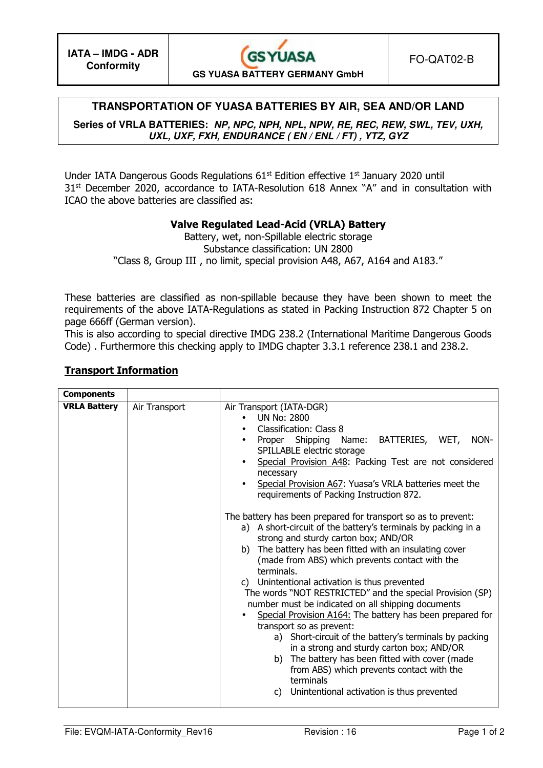### **TRANSPORTATION OF YUASA BATTERIES BY AIR, SEA AND/OR LAND**

**Series of VRLA BATTERIES: NP, NPC, NPH, NPL, NPW, RE, REC, REW, SWL, TEV, UXH, UXL, UXF, FXH, ENDURANCE ( EN / ENL / FT) , YTZ, GYZ**

Under IATA Dangerous Goods Regulations 61<sup>st</sup> Edition effective 1<sup>st</sup> January 2020 until 31<sup>st</sup> December 2020, accordance to IATA-Resolution 618 Annex "A" and in consultation with ICAO the above batteries are classified as:

### **Valve Regulated Lead-Acid (VRLA) Battery**

Battery, wet, non-Spillable electric storage Substance classification: UN 2800 "Class 8, Group III , no limit, special provision A48, A67, A164 and A183."

These batteries are classified as non-spillable because they have been shown to meet the requirements of the above IATA-Regulations as stated in Packing Instruction 872 Chapter 5 on page 666ff (German version).

This is also according to special directive IMDG 238.2 (International Maritime Dangerous Goods Code) . Furthermore this checking apply to IMDG chapter 3.3.1 reference 238.1 and 238.2.

#### **Transport Information**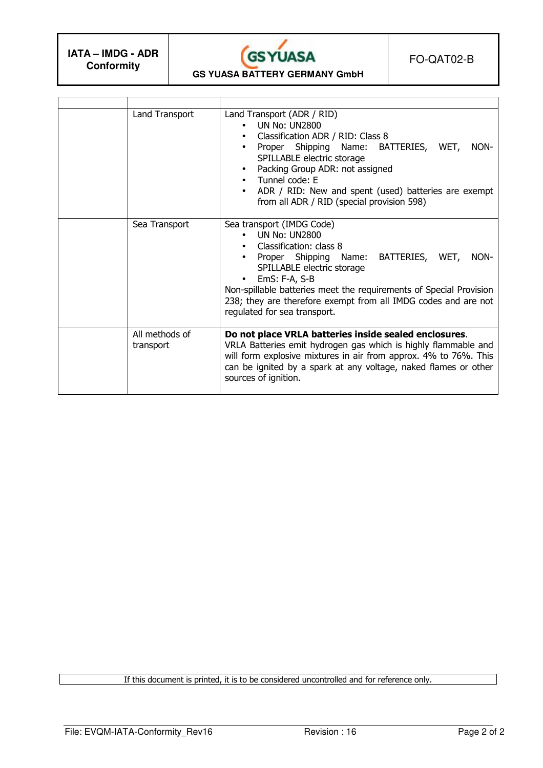$\mathbf{r}$ 



FO-QAT02-B

**GS YUASA BATTERY GERMANY GmbH** 

| Land Transport              | Land Transport (ADR / RID)<br>UN No: UN2800<br>Classification ADR / RID: Class 8<br>Proper Shipping Name: BATTERIES, WET,<br>NON-<br>SPILLABLE electric storage<br>Packing Group ADR: not assigned<br>$\bullet$<br>Tunnel code: E<br>$\bullet$<br>ADR / RID: New and spent (used) batteries are exempt<br>from all ADR / RID (special provision 598) |  |  |
|-----------------------------|------------------------------------------------------------------------------------------------------------------------------------------------------------------------------------------------------------------------------------------------------------------------------------------------------------------------------------------------------|--|--|
| Sea Transport               | Sea transport (IMDG Code)<br><b>UN No: UN2800</b><br>Classification: class 8<br>Proper Shipping Name: BATTERIES, WET,<br>NON-<br>SPILLABLE electric storage<br>EmS: F-A, S-B<br>Non-spillable batteries meet the requirements of Special Provision<br>238; they are therefore exempt from all IMDG codes and are not<br>regulated for sea transport. |  |  |
| All methods of<br>transport | Do not place VRLA batteries inside sealed enclosures.<br>VRLA Batteries emit hydrogen gas which is highly flammable and<br>will form explosive mixtures in air from approx. 4% to 76%. This<br>can be ignited by a spark at any voltage, naked flames or other<br>sources of ignition.                                                               |  |  |

If this document is printed, it is to be considered uncontrolled and for reference only.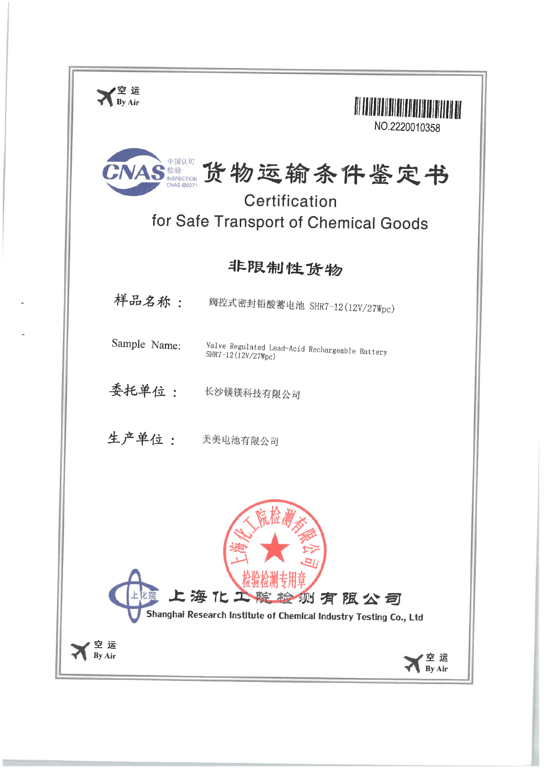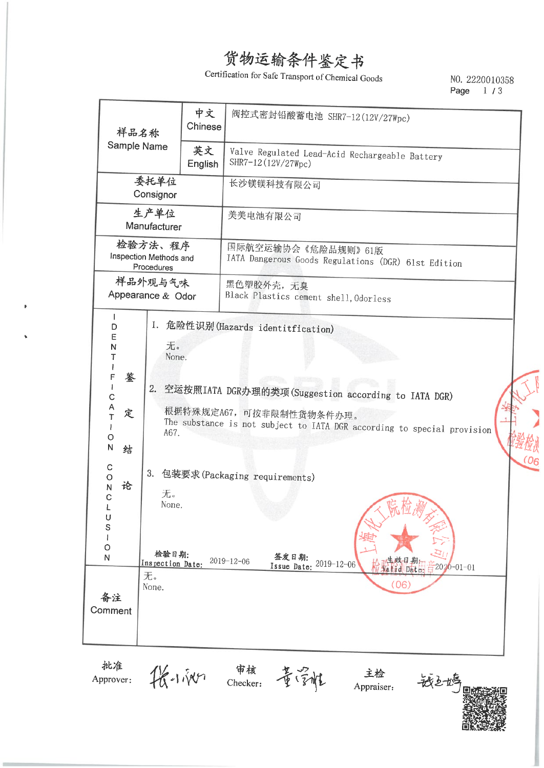Certification for Safe Transport of Chemical Goods

NO. 2220010358 Page 1/3

|  |                                                                                                                                                                                                                                                                                                                                                                                       | 样品名称          | 中文<br>Chinese | 阀控式密封铅酸蓄电池 SHR7-12(12V/27Wpc)                                                                                                                                                                                                                                                                                                           |
|--|---------------------------------------------------------------------------------------------------------------------------------------------------------------------------------------------------------------------------------------------------------------------------------------------------------------------------------------------------------------------------------------|---------------|---------------|-----------------------------------------------------------------------------------------------------------------------------------------------------------------------------------------------------------------------------------------------------------------------------------------------------------------------------------------|
|  | Sample Name                                                                                                                                                                                                                                                                                                                                                                           |               | 英文<br>English | Valve Regulated Lead-Acid Rechargeable Battery<br>SHR7-12(12V/27Wpc)                                                                                                                                                                                                                                                                    |
|  | 委托单位<br>Consignor<br>生产单位<br>Manufacturer<br>检验方法、程序<br>Inspection Methods and<br>Procedures<br>样品外观与气味<br>Appearance & Odor<br>L<br>1.<br>D<br>E<br>无。<br>N<br>T<br>None.<br>Ł<br>F<br>鉴<br>T<br>2.<br>C<br>A<br>定<br>T<br>A67.<br>O<br>$\overline{\mathsf{N}}$<br>结<br>$\mathsf{C}$<br>3.<br>$\circ$<br>论<br>N<br>无。<br>С<br>None.<br>U<br>S<br>O<br>检验日期:<br>N<br>Inspection Date: |               |               | 长沙镁镁科技有限公司                                                                                                                                                                                                                                                                                                                              |
|  |                                                                                                                                                                                                                                                                                                                                                                                       |               |               | 美美电池有限公司                                                                                                                                                                                                                                                                                                                                |
|  |                                                                                                                                                                                                                                                                                                                                                                                       |               |               | 国际航空运输协会《危险品规则》61版<br>IATA Dangerous Goods Regulations (DGR) 61st Edition                                                                                                                                                                                                                                                               |
|  |                                                                                                                                                                                                                                                                                                                                                                                       |               |               | 黑色塑胶外壳,无臭<br>Black Plastics cement shell, Odorless                                                                                                                                                                                                                                                                                      |
|  |                                                                                                                                                                                                                                                                                                                                                                                       |               |               | 危险性识别(Hazards identitfication)<br>空运按照IATA DGR办理的类项(Suggestion according to IATA DGR)<br>根据特殊规定A67, 可按非限制性货物条件办理。<br>The substance is not subject to IATA DGR according to special provision<br>(06)<br>包装要求(Packaging requirements)<br>签发日期:<br>生效日期:<br>Valid Date:<br>$2019 - 12 - 06$<br>Issue Date: 2019-12-06<br>$2020 - 01 - 01$ |
|  | 备注<br>Comment                                                                                                                                                                                                                                                                                                                                                                         | 无。<br>None.   |               | (06)                                                                                                                                                                                                                                                                                                                                    |
|  | 批准<br>Approver:                                                                                                                                                                                                                                                                                                                                                                       | $R + i\gamma$ |               | 审核<br>Checker:<br>主检<br>董家雅<br>嵌上炉<br>Appraiser:                                                                                                                                                                                                                                                                                        |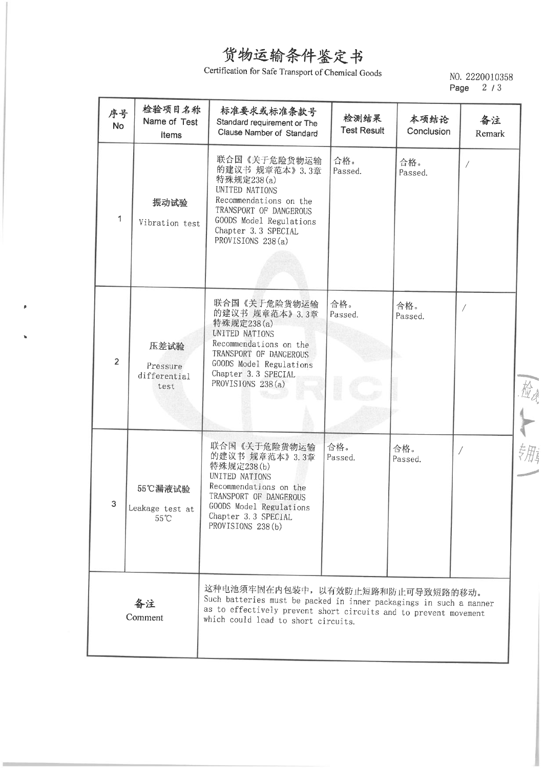## Certification for Safe Transport of Chemical Goods

# NO. 2220010358<br>Page 2 / 3

| 序号<br><b>No</b> | 检验项目名称<br>Name of Test<br>Items              | 标准要求或标准条款号<br>Standard requirement or The<br>Clause Namber of Standard                                                                                                                                             | 检测结果<br><b>Test Result</b> | 本项结论<br>Conclusion | 备注<br>Remark |
|-----------------|----------------------------------------------|--------------------------------------------------------------------------------------------------------------------------------------------------------------------------------------------------------------------|----------------------------|--------------------|--------------|
| 1               | 振动试验<br>Vibration test                       | 联合国《关于危险货物运输<br>的建议书 规章范本》3.3章<br>特殊规定238(a)<br>UNITED NATIONS<br>Recommendations on the<br>TRANSPORT OF DANGEROUS<br>GOODS Model Regulations<br>Chapter 3.3 SPECIAL<br>PROVISIONS 238(a)                          | 合格。<br>Passed.             | 合格。<br>Passed.     | Τ            |
| $\overline{2}$  | 压差试验<br>Pressure<br>differential<br>test     | 联合国《关于危险货物运输<br>的建议书 规章范本》3.3章<br>特殊规定238(a)<br>UNITED NATIONS<br>Recommendations on the<br>TRANSPORT OF DANGEROUS<br>GOODS Model Regulations<br>Chapter 3.3 SPECIAL<br>PROVISIONS 238(a)                          | 合格。<br>Passed.             | 合格。<br>Passed.     |              |
| З.              | 55℃漏液试验<br>Leakage test at<br>$55^{\circ}$ C | 联合国《关于危险货物运输<br>的建议书 规章范本》3.3章<br>特殊规定238(b)<br>UNITED NATIONS<br>Recommendations on the<br>TRANSPORT OF DANGEROUS<br>GOODS Model Regulations<br>Chapter 3.3 SPECIAL<br>PROVISIONS 238 (b)                         | 合格。<br>Passed.             | 合格。<br>Passed.     |              |
| 备注<br>Comment   |                                              | 这种电池须牢固在内包装中, 以有效防止短路和防止可导致短路的移动。<br>Such batteries must be packed in inner packagings in such a manner<br>as to effectively prevent short circuits and to prevent movement<br>which could lead to short circuits. |                            |                    |              |

一检十一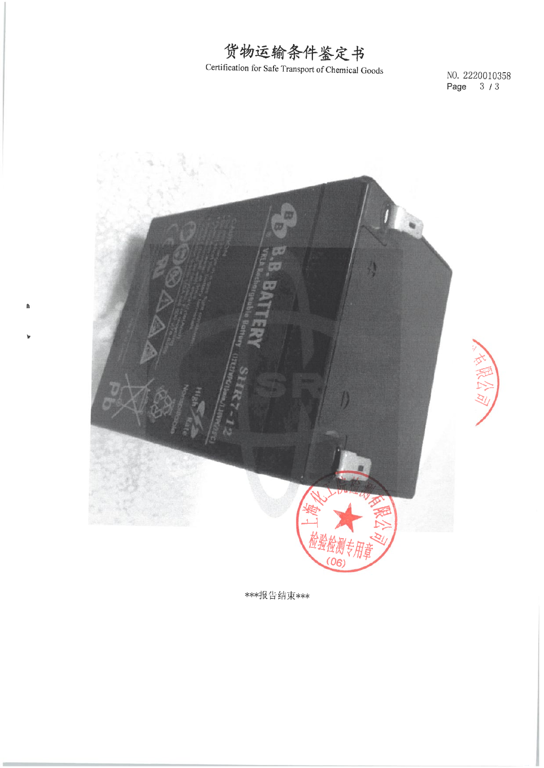

Certification for Safe Transport of Chemical Goods

NO. 2220010358 Page 3/3



 $\mathbf{a}$ 

\*\*\*报告结束\*\*\*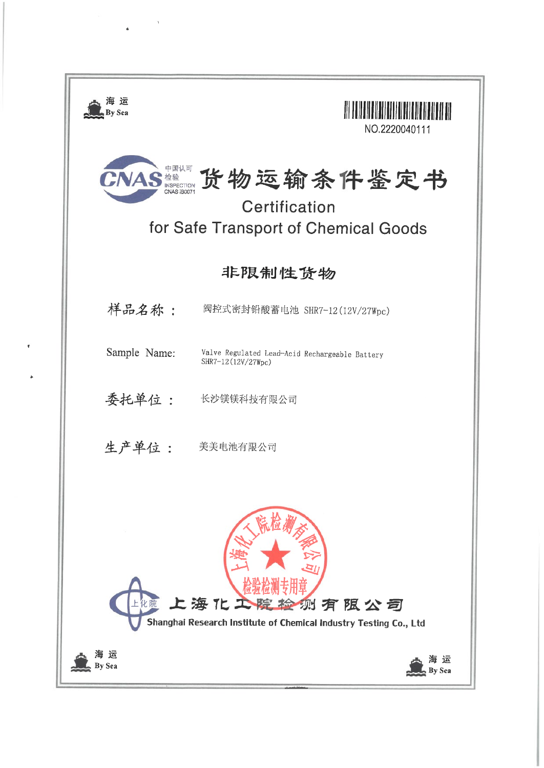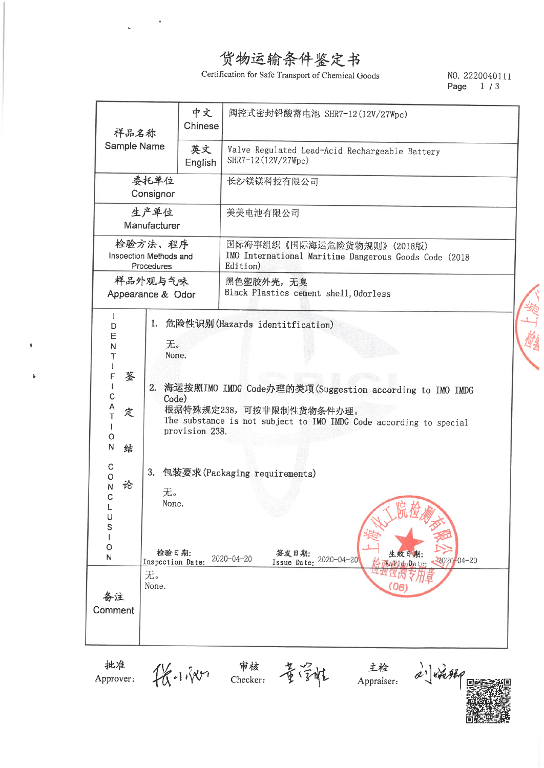$\overline{a}$ 

h

Certification for Safe Transport of Chemical Goods

#### NO. 2220040111 Page  $1/3$

| 样品名称                                                                                                                                  |                                                                        | 中文<br>Chinese  | 阀控式密封铅酸蓄电池 SHR7-12(12V/27Wpc)                                                                                                                                                                                                                                                                                                             |  |  |
|---------------------------------------------------------------------------------------------------------------------------------------|------------------------------------------------------------------------|----------------|-------------------------------------------------------------------------------------------------------------------------------------------------------------------------------------------------------------------------------------------------------------------------------------------------------------------------------------------|--|--|
| Sample Name                                                                                                                           |                                                                        | 英文<br>English  | Valve Regulated Lead-Acid Rechargeable Battery<br>SHR7-12(12V/27Wpc)                                                                                                                                                                                                                                                                      |  |  |
| 委托单位<br>Consignor                                                                                                                     |                                                                        |                | 长沙镁镁科技有限公司                                                                                                                                                                                                                                                                                                                                |  |  |
|                                                                                                                                       | 生产单位<br>Manufacturer                                                   |                | 美美电池有限公司                                                                                                                                                                                                                                                                                                                                  |  |  |
| 检验方法、程序<br>Inspection Methods and<br>Procedures                                                                                       |                                                                        |                | 国际海事组织《国际海运危险货物规则》(2018版)<br>IMO International Maritime Dangerous Goods Code (2018<br>Edition)                                                                                                                                                                                                                                            |  |  |
| Appearance & Odor                                                                                                                     | 样品外观与气味                                                                |                | 黑色塑胶外壳,无臭<br>Black Plastics cement shell, Odorless                                                                                                                                                                                                                                                                                        |  |  |
| T<br>D<br>E<br>N<br>Τ<br>鉴<br>F<br>T<br>C<br>Ą<br>定<br>T<br>$\circ$<br>$\mathsf{N}$<br>结<br>C<br>O<br>论<br>N<br>C<br>U<br>S<br>O<br>N | 1.<br>无。<br>None.<br>Code)<br>无。<br>None.<br>检验日期:<br>Inspection Date: | provision 238. | 危险性识别(Hazards identitfication)<br>2. 海运按照IMO IMDG Code办理的类项(Suggestion according to IMO IMDG<br>根据特殊规定238,可按非限制性货物条件办理。<br>The substance is not subject to IMO IMDG Code according to special<br>3. 包装要求(Packaging requirements)<br>贮<br>於<br>签发日期:<br>生效日期:<br>$2020 - 04 - 20$<br>Issue Date: 2020-04-20<br>22020-04-20<br>Mallid Date: |  |  |
| 备注<br>Comment                                                                                                                         | 无。<br>None.                                                            |                | (06)                                                                                                                                                                                                                                                                                                                                      |  |  |
| 批准<br>Approver:                                                                                                                       |                                                                        | $48 - 1180$    | 审核<br>主检<br>2) *** 120<br>安全性<br>Checker:<br>Appraiser:                                                                                                                                                                                                                                                                                   |  |  |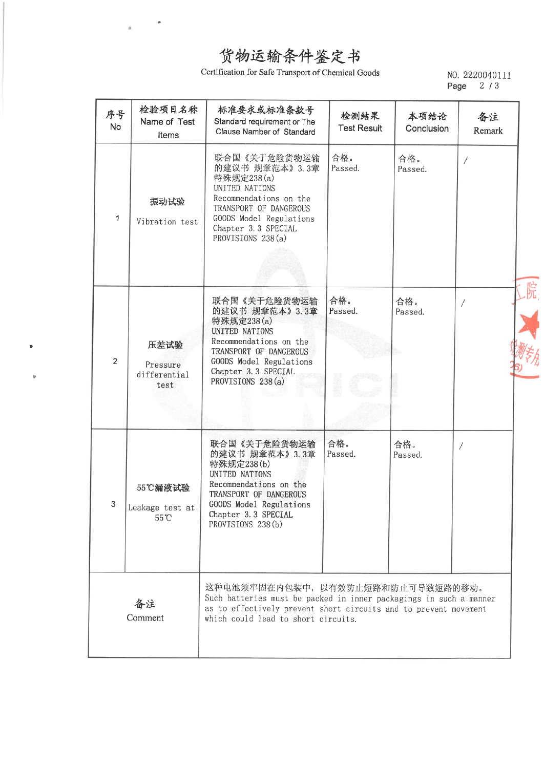þ.

 $\mathfrak{a}$ 

Certification for Safe Transport of Chemical Goods

NO. 2220040111 Page 2/3

| 序号<br><b>No</b> | 检验项目名称<br>Name of Test<br>Items          | 标准要求或标准条款号<br>Standard requirement or The<br>Clause Namber of Standard                                                                                                                                             | 检测结果<br><b>Test Result</b> | 本项结论<br>Conclusion | 备注<br>Remark |
|-----------------|------------------------------------------|--------------------------------------------------------------------------------------------------------------------------------------------------------------------------------------------------------------------|----------------------------|--------------------|--------------|
| 1               | 振动试验<br>Vibration test                   | 联合国《关于危险货物运输<br>的建议书 规章范本》3.3章<br>特殊规定238(a)<br>UNITED NATIONS<br>Recommendations on the<br>TRANSPORT OF DANGEROUS<br>GOODS Model Regulations<br>Chapter 3.3 SPECIAL<br>PROVISIONS 238(a)                          | 合格。<br>Passed.             | 合格。<br>Passed.     |              |
| $\overline{2}$  | 压差试验<br>Pressure<br>differential<br>test | 联合国《关于危险货物运输<br>的建议书 规章范本》3.3章<br>特殊规定238(a)<br>UNITED NATIONS<br>Recommendations on the<br>TRANSPORT OF DANGEROUS<br>GOODS Model Regulations<br>Chapter 3.3 SPECIAL<br>PROVISIONS 238 (a)                         | 合格。<br>Passed.             | 合格。<br>Passed.     | 院            |
| 3               | 55℃漏液试验<br>Leakage test at<br>55°C       | 联合国《关于危险货物运输<br>的建议书 规章范本》3.3章<br>特殊规定238(b)<br>UNITED NATIONS<br>Recommendations on the<br>TRANSPORT OF DANGEROUS<br>GOODS Model Regulations<br>Chapter 3.3 SPECIAL<br>PROVISIONS 238(b)                          | 合格。<br>Passed.             | 合格。<br>Passed.     | 7            |
| 备注<br>Comment   |                                          | 这种电池须牢固在内包装中, 以有效防止短路和防止可导致短路的移动。<br>Such batteries must be packed in inner packagings in such a manner<br>as to effectively prevent short circuits and to prevent movement<br>which could lead to short circuits. |                            |                    |              |